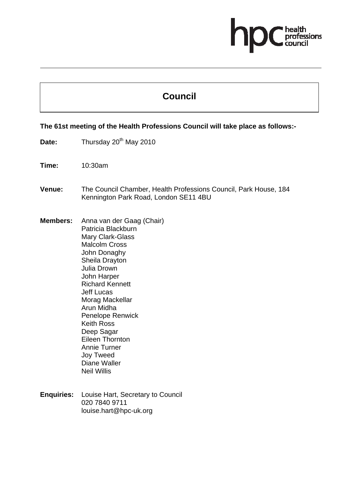# ofessions

## **Council**

#### **The 61st meeting of the Health Professions Council will take place as follows:-**

- Date: Thursday 20<sup>th</sup> May 2010
- **Time:** 10:30am
- **Venue:** The Council Chamber, Health Professions Council, Park House, 184 Kennington Park Road, London SE11 4BU
- **Members:** Anna van der Gaag (Chair) Patricia Blackburn Mary Clark-Glass Malcolm Cross John Donaghy Sheila Drayton Julia Drown John Harper Richard Kennett Jeff Lucas Morag Mackellar Arun Midha Penelope Renwick Keith Ross Deep Sagar Eileen Thornton Annie Turner Joy Tweed Diane Waller Neil Willis
- **Enquiries:** Louise Hart, Secretary to Council 020 7840 9711 louise.hart@hpc-uk.org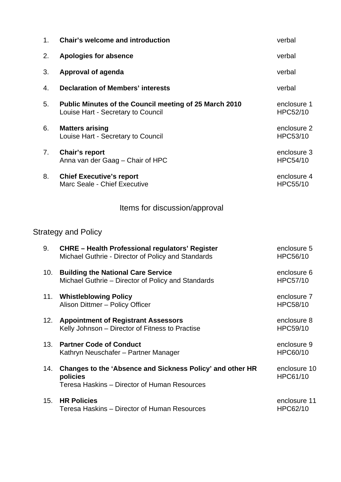| 1.  | <b>Chair's welcome and introduction</b>                                                                               | verbal                   |
|-----|-----------------------------------------------------------------------------------------------------------------------|--------------------------|
| 2.  | <b>Apologies for absence</b>                                                                                          | verbal                   |
| 3.  | <b>Approval of agenda</b>                                                                                             | verbal                   |
| 4.  | <b>Declaration of Members' interests</b>                                                                              | verbal                   |
| 5.  | Public Minutes of the Council meeting of 25 March 2010<br>Louise Hart - Secretary to Council                          | enclosure 1<br>HPC52/10  |
| 6.  | <b>Matters arising</b><br>Louise Hart - Secretary to Council                                                          | enclosure 2<br>HPC53/10  |
| 7.  | <b>Chair's report</b><br>Anna van der Gaag - Chair of HPC                                                             | enclosure 3<br>HPC54/10  |
| 8.  | <b>Chief Executive's report</b><br>Marc Seale - Chief Executive                                                       | enclosure 4<br>HPC55/10  |
|     | Items for discussion/approval                                                                                         |                          |
|     | <b>Strategy and Policy</b>                                                                                            |                          |
| 9.  | <b>CHRE - Health Professional regulators' Register</b><br>Michael Guthrie - Director of Policy and Standards          | enclosure 5<br>HPC56/10  |
| 10. | <b>Building the National Care Service</b><br>Michael Guthrie - Director of Policy and Standards                       | enclosure 6<br>HPC57/10  |
|     | 11. Whistleblowing Policy<br>Alison Dittmer - Policy Officer                                                          | enclosure 7<br>HPC58/10  |
| 12. | <b>Appointment of Registrant Assessors</b><br>Kelly Johnson - Director of Fitness to Practise                         | enclosure 8<br>HPC59/10  |
| 13. | <b>Partner Code of Conduct</b><br>Kathryn Neuschafer - Partner Manager                                                | enclosure 9<br>HPC60/10  |
| 14. | Changes to the 'Absence and Sickness Policy' and other HR<br>policies<br>Teresa Haskins - Director of Human Resources | enclosure 10<br>HPC61/10 |
| 15. | <b>HR Policies</b><br>Teresa Haskins - Director of Human Resources                                                    | enclosure 11<br>HPC62/10 |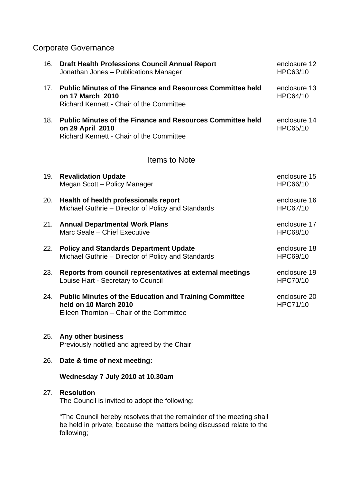## Corporate Governance

| 16. | <b>Draft Health Professions Council Annual Report</b><br>Jonathan Jones - Publications Manager                                           | enclosure 12<br>HPC63/10 |
|-----|------------------------------------------------------------------------------------------------------------------------------------------|--------------------------|
| 17. | <b>Public Minutes of the Finance and Resources Committee held</b><br>on 17 March 2010<br><b>Richard Kennett - Chair of the Committee</b> | enclosure 13<br>HPC64/10 |
| 18. | <b>Public Minutes of the Finance and Resources Committee held</b><br>on 29 April 2010<br>Richard Kennett - Chair of the Committee        | enclosure 14<br>HPC65/10 |
|     | <b>Items to Note</b>                                                                                                                     |                          |
| 19. | <b>Revalidation Update</b><br>Megan Scott - Policy Manager                                                                               | enclosure 15<br>HPC66/10 |
| 20. | Health of health professionals report<br>Michael Guthrie - Director of Policy and Standards                                              | enclosure 16<br>HPC67/10 |
| 21. | <b>Annual Departmental Work Plans</b><br>Marc Seale - Chief Executive                                                                    | enclosure 17<br>HPC68/10 |
| 22. | <b>Policy and Standards Department Update</b><br>Michael Guthrie - Director of Policy and Standards                                      | enclosure 18<br>HPC69/10 |
| 23. | Reports from council representatives at external meetings<br>Louise Hart - Secretary to Council                                          | enclosure 19<br>HPC70/10 |
| 24. | <b>Public Minutes of the Education and Training Committee</b><br>held on 10 March 2010<br>Eileen Thornton - Chair of the Committee       | enclosure 20<br>HPC71/10 |
| 25. | Any other business<br>Previously notified and agreed by the Chair                                                                        |                          |
| 26. | Date & time of next meeting:                                                                                                             |                          |
|     | Wednesday 7 July 2010 at 10.30am                                                                                                         |                          |
| 27. | <b>Resolution</b><br>The Council is invited to adopt the following:                                                                      |                          |
|     | Council bereby resolves that the remainds<br>of the monting                                                                              |                          |

The Council hereby resolves that the remainder of the meeting shall be held in private, because the matters being discussed relate to the following;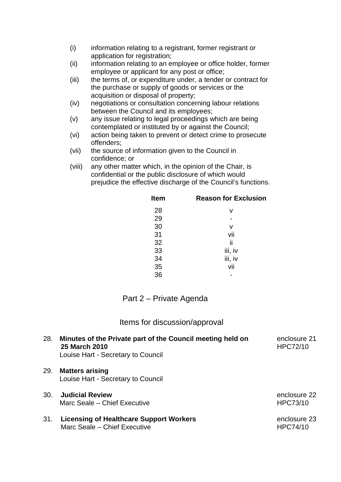- (i) information relating to a registrant, former registrant or application for registration;
- (ii) information relating to an employee or office holder, former employee or applicant for any post or office;
- (iii) the terms of, or expenditure under, a tender or contract for the purchase or supply of goods or services or the acquisition or disposal of property;
- (iv) negotiations or consultation concerning labour relations between the Council and its employees;
- (v) any issue relating to legal proceedings which are being contemplated or instituted by or against the Council;
- (vi) action being taken to prevent or detect crime to prosecute offenders;
- (vii) the source of information given to the Council in confidence; or
- (viii) any other matter which, in the opinion of the Chair, is confidential or the public disclosure of which would prejudice the effective discharge of the Council's functions.

| <b>Item</b> | <b>Reason for Exclusion</b> |
|-------------|-----------------------------|
| 28          | v                           |
| 29          |                             |
| 30          | v                           |
| 31          | vii                         |
| 32          | ii                          |
| 33          | iii, iv                     |
| 34          | iii, iv                     |
| 35          | vii                         |
| 36          |                             |

### Part 2 – Private Agenda

#### Items for discussion/approval

| 28. | Minutes of the Private part of the Council meeting held on<br><b>25 March 2010</b><br>Louise Hart - Secretary to Council | enclosure 21<br><b>HPC72/10</b> |
|-----|--------------------------------------------------------------------------------------------------------------------------|---------------------------------|
| 29. | <b>Matters arising</b><br>Louise Hart - Secretary to Council                                                             |                                 |
| 30. | <b>Judicial Review</b><br>Marc Seale – Chief Executive                                                                   | enclosure 22<br>HPC73/10        |
| 31. | <b>Licensing of Healthcare Support Workers</b><br>Marc Seale - Chief Executive                                           | enclosure 23<br><b>HPC74/10</b> |